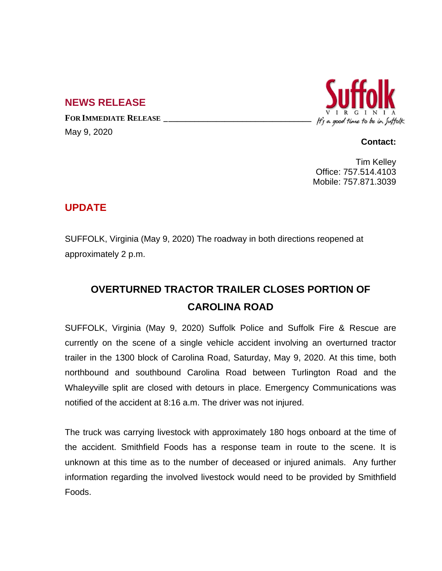## **NEWS RELEASE**

**FOR IMMEDIATE RELEASE \_\_\_\_\_\_\_\_\_\_\_\_\_\_\_\_\_\_\_\_\_\_\_\_\_\_\_\_\_\_\_\_\_\_** May 9, 2020



## **Contact:**

Tim Kelley Office: 757.514.4103 Mobile: 757.871.3039

## **UPDATE**

SUFFOLK, Virginia (May 9, 2020) The roadway in both directions reopened at approximately 2 p.m.

## **OVERTURNED TRACTOR TRAILER CLOSES PORTION OF CAROLINA ROAD**

SUFFOLK, Virginia (May 9, 2020) Suffolk Police and Suffolk Fire & Rescue are currently on the scene of a single vehicle accident involving an overturned tractor trailer in the 1300 block of Carolina Road, Saturday, May 9, 2020. At this time, both northbound and southbound Carolina Road between Turlington Road and the Whaleyville split are closed with detours in place. Emergency Communications was notified of the accident at 8:16 a.m. The driver was not injured.

The truck was carrying livestock with approximately 180 hogs onboard at the time of the accident. Smithfield Foods has a response team in route to the scene. It is unknown at this time as to the number of deceased or injured animals. Any further information regarding the involved livestock would need to be provided by Smithfield Foods.